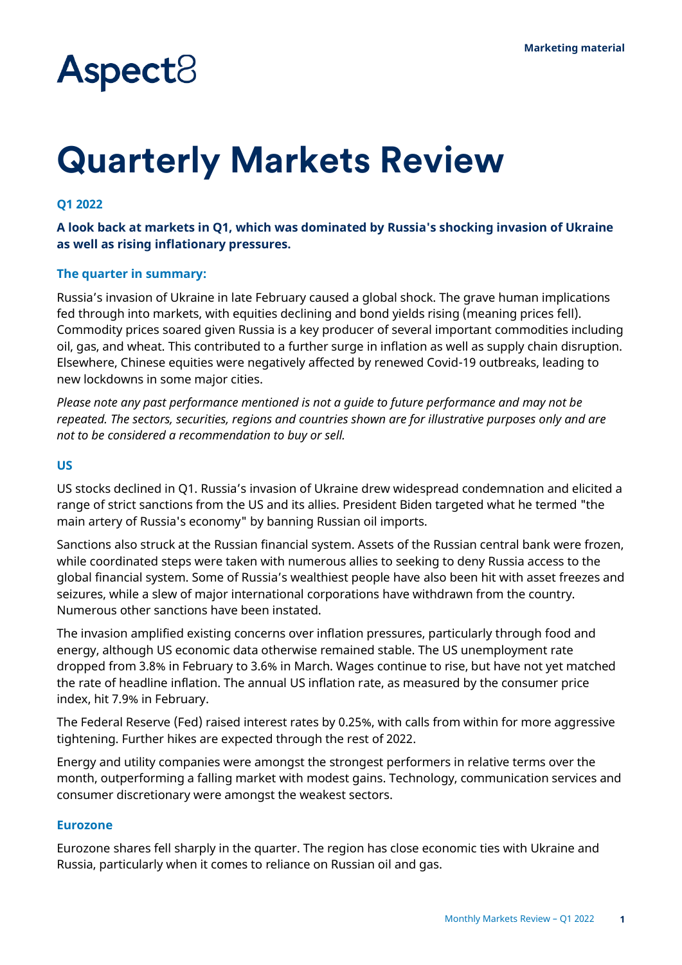# **Aspect**<sup>8</sup>

## **Quarterly Markets Review**

#### **Q1 2022**

#### **A look back at markets in Q1, which was dominated by Russia's shocking invasion of Ukraine as well as rising inflationary pressures.**

#### **The quarter in summary:**

Russia's invasion of Ukraine in late February caused a global shock. The grave human implications fed through into markets, with equities declining and bond yields rising (meaning prices fell). Commodity prices soared given Russia is a key producer of several important commodities including oil, gas, and wheat. This contributed to a further surge in inflation as well as supply chain disruption. Elsewhere, Chinese equities were negatively affected by renewed Covid-19 outbreaks, leading to new lockdowns in some major cities.

*Please note any past performance mentioned is not a guide to future performance and may not be repeated. The sectors, securities, regions and countries shown are for illustrative purposes only and are not to be considered a recommendation to buy or sell.*

#### **US**

US stocks declined in Q1. Russia's invasion of Ukraine drew widespread condemnation and elicited a range of strict sanctions from the US and its allies. President Biden targeted what he termed "the main artery of Russia's economy" by banning Russian oil imports.

Sanctions also struck at the Russian financial system. Assets of the Russian central bank were frozen, while coordinated steps were taken with numerous allies to seeking to deny Russia access to the global financial system. Some of Russia's wealthiest people have also been hit with asset freezes and seizures, while a slew of major international corporations have withdrawn from the country. Numerous other sanctions have been instated.

The invasion amplified existing concerns over inflation pressures, particularly through food and energy, although US economic data otherwise remained stable. The US unemployment rate dropped from 3.8% in February to 3.6% in March. Wages continue to rise, but have not yet matched the rate of headline inflation. The annual US inflation rate, as measured by the consumer price index, hit 7.9% in February.

The Federal Reserve (Fed) raised interest rates by 0.25%, with calls from within for more aggressive tightening. Further hikes are expected through the rest of 2022.

Energy and utility companies were amongst the strongest performers in relative terms over the month, outperforming a falling market with modest gains. Technology, communication services and consumer discretionary were amongst the weakest sectors.

#### **Eurozone**

Eurozone shares fell sharply in the quarter. The region has close economic ties with Ukraine and Russia, particularly when it comes to reliance on Russian oil and gas.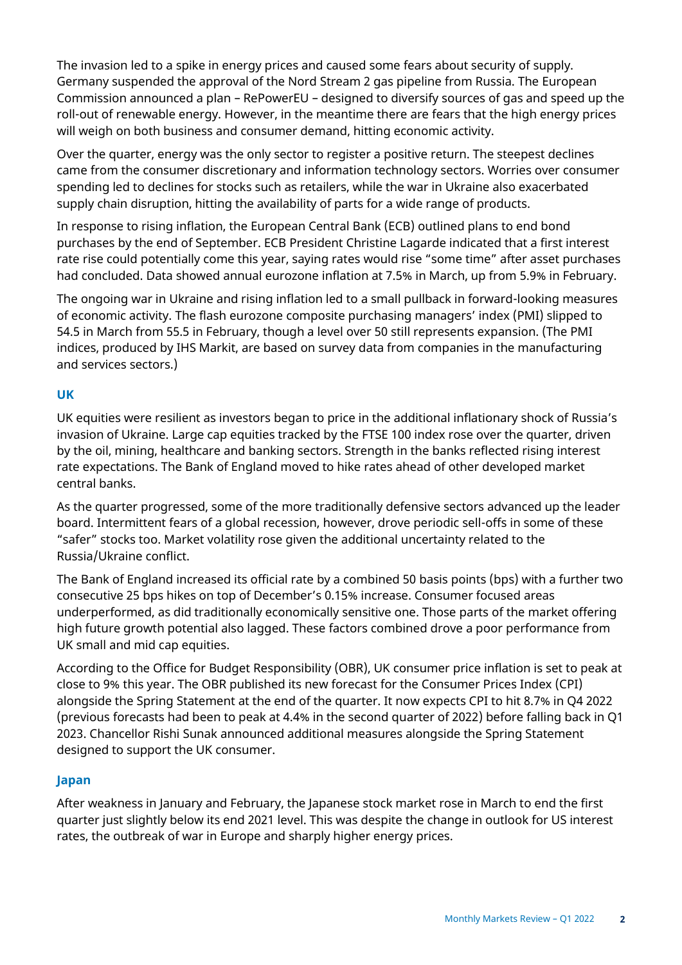The invasion led to a spike in energy prices and caused some fears about security of supply. Germany suspended the approval of the Nord Stream 2 gas pipeline from Russia. The European Commission announced a plan – RePowerEU – designed to diversify sources of gas and speed up the roll-out of renewable energy. However, in the meantime there are fears that the high energy prices will weigh on both business and consumer demand, hitting economic activity.

Over the quarter, energy was the only sector to register a positive return. The steepest declines came from the consumer discretionary and information technology sectors. Worries over consumer spending led to declines for stocks such as retailers, while the war in Ukraine also exacerbated supply chain disruption, hitting the availability of parts for a wide range of products.

In response to rising inflation, the European Central Bank (ECB) outlined plans to end bond purchases by the end of September. ECB President Christine Lagarde indicated that a first interest rate rise could potentially come this year, saying rates would rise "some time" after asset purchases had concluded. Data showed annual eurozone inflation at 7.5% in March, up from 5.9% in February.

The ongoing war in Ukraine and rising inflation led to a small pullback in forward-looking measures of economic activity. The flash eurozone composite purchasing managers' index (PMI) slipped to 54.5 in March from 55.5 in February, though a level over 50 still represents expansion. (The PMI indices, produced by IHS Markit, are based on survey data from companies in the manufacturing and services sectors.)

### **UK**

UK equities were resilient as investors began to price in the additional inflationary shock of Russia's invasion of Ukraine. Large cap equities tracked by the FTSE 100 index rose over the quarter, driven by the oil, mining, healthcare and banking sectors. Strength in the banks reflected rising interest rate expectations. The Bank of England moved to hike rates ahead of other developed market central banks.

As the quarter progressed, some of the more traditionally defensive sectors advanced up the leader board. Intermittent fears of a global recession, however, drove periodic sell-offs in some of these "safer" stocks too. Market volatility rose given the additional uncertainty related to the Russia/Ukraine conflict.

The Bank of England increased its official rate by a combined 50 basis points (bps) with a further two consecutive 25 bps hikes on top of December's 0.15% increase. Consumer focused areas underperformed, as did traditionally economically sensitive one. Those parts of the market offering high future growth potential also lagged. These factors combined drove a poor performance from UK small and mid cap equities.

According to the Office for Budget Responsibility (OBR), UK consumer price inflation is set to peak at close to 9% this year. The OBR published its new forecast for the Consumer Prices Index (CPI) alongside the Spring Statement at the end of the quarter. It now expects CPI to hit 8.7% in Q4 2022 (previous forecasts had been to peak at 4.4% in the second quarter of 2022) before falling back in Q1 2023. Chancellor Rishi Sunak announced additional measures alongside the Spring Statement designed to support the UK consumer.

### **Japan**

After weakness in January and February, the Japanese stock market rose in March to end the first quarter just slightly below its end 2021 level. This was despite the change in outlook for US interest rates, the outbreak of war in Europe and sharply higher energy prices.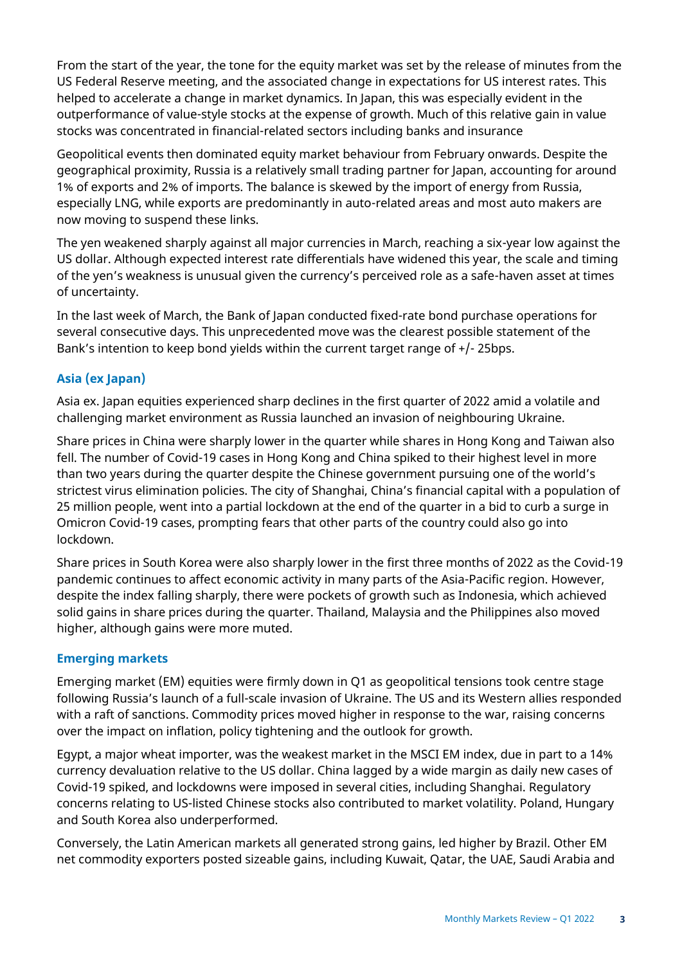From the start of the year, the tone for the equity market was set by the release of minutes from the US Federal Reserve meeting, and the associated change in expectations for US interest rates. This helped to accelerate a change in market dynamics. In Japan, this was especially evident in the outperformance of value-style stocks at the expense of growth. Much of this relative gain in value stocks was concentrated in financial-related sectors including banks and insurance

Geopolitical events then dominated equity market behaviour from February onwards. Despite the geographical proximity, Russia is a relatively small trading partner for Japan, accounting for around 1% of exports and 2% of imports. The balance is skewed by the import of energy from Russia, especially LNG, while exports are predominantly in auto-related areas and most auto makers are now moving to suspend these links.

The yen weakened sharply against all major currencies in March, reaching a six-year low against the US dollar. Although expected interest rate differentials have widened this year, the scale and timing of the yen's weakness is unusual given the currency's perceived role as a safe-haven asset at times of uncertainty.

In the last week of March, the Bank of Japan conducted fixed-rate bond purchase operations for several consecutive days. This unprecedented move was the clearest possible statement of the Bank's intention to keep bond yields within the current target range of +/- 25bps.

### **Asia (ex Japan)**

Asia ex. Japan equities experienced sharp declines in the first quarter of 2022 amid a volatile and challenging market environment as Russia launched an invasion of neighbouring Ukraine.

Share prices in China were sharply lower in the quarter while shares in Hong Kong and Taiwan also fell. The number of Covid-19 cases in Hong Kong and China spiked to their highest level in more than two years during the quarter despite the Chinese government pursuing one of the world's strictest virus elimination policies. The city of Shanghai, China's financial capital with a population of 25 million people, went into a partial lockdown at the end of the quarter in a bid to curb a surge in Omicron Covid-19 cases, prompting fears that other parts of the country could also go into lockdown.

Share prices in South Korea were also sharply lower in the first three months of 2022 as the Covid-19 pandemic continues to affect economic activity in many parts of the Asia-Pacific region. However, despite the index falling sharply, there were pockets of growth such as Indonesia, which achieved solid gains in share prices during the quarter. Thailand, Malaysia and the Philippines also moved higher, although gains were more muted.

### **Emerging markets**

Emerging market (EM) equities were firmly down in Q1 as geopolitical tensions took centre stage following Russia's launch of a full-scale invasion of Ukraine. The US and its Western allies responded with a raft of sanctions. Commodity prices moved higher in response to the war, raising concerns over the impact on inflation, policy tightening and the outlook for growth.

Egypt, a major wheat importer, was the weakest market in the MSCI EM index, due in part to a 14% currency devaluation relative to the US dollar. China lagged by a wide margin as daily new cases of Covid-19 spiked, and lockdowns were imposed in several cities, including Shanghai. Regulatory concerns relating to US-listed Chinese stocks also contributed to market volatility. Poland, Hungary and South Korea also underperformed.

Conversely, the Latin American markets all generated strong gains, led higher by Brazil. Other EM net commodity exporters posted sizeable gains, including Kuwait, Qatar, the UAE, Saudi Arabia and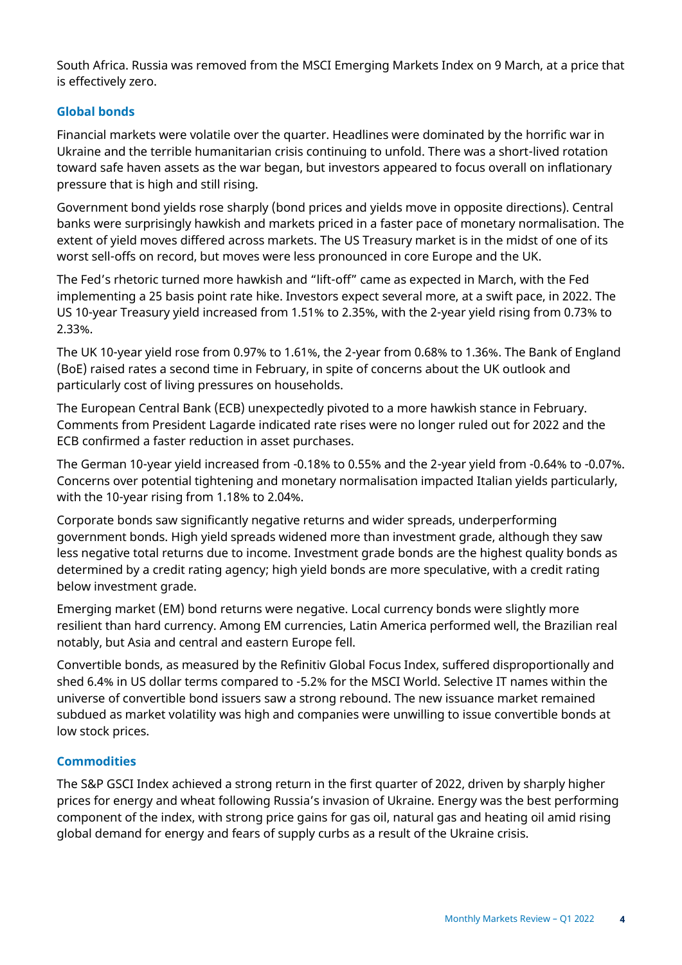South Africa. Russia was removed from the MSCI Emerging Markets Index on 9 March, at a price that is effectively zero.

### **Global bonds**

Financial markets were volatile over the quarter. Headlines were dominated by the horrific war in Ukraine and the terrible humanitarian crisis continuing to unfold. There was a short-lived rotation toward safe haven assets as the war began, but investors appeared to focus overall on inflationary pressure that is high and still rising.

Government bond yields rose sharply (bond prices and yields move in opposite directions). Central banks were surprisingly hawkish and markets priced in a faster pace of monetary normalisation. The extent of yield moves differed across markets. The US Treasury market is in the midst of one of its worst sell-offs on record, but moves were less pronounced in core Europe and the UK.

The Fed's rhetoric turned more hawkish and "lift-off" came as expected in March, with the Fed implementing a 25 basis point rate hike. Investors expect several more, at a swift pace, in 2022. The US 10-year Treasury yield increased from 1.51% to 2.35%, with the 2-year yield rising from 0.73% to 2.33%.

The UK 10-year yield rose from 0.97% to 1.61%, the 2-year from 0.68% to 1.36%. The Bank of England (BoE) raised rates a second time in February, in spite of concerns about the UK outlook and particularly cost of living pressures on households.

The European Central Bank (ECB) unexpectedly pivoted to a more hawkish stance in February. Comments from President Lagarde indicated rate rises were no longer ruled out for 2022 and the ECB confirmed a faster reduction in asset purchases.

The German 10-year yield increased from -0.18% to 0.55% and the 2-year yield from -0.64% to -0.07%. Concerns over potential tightening and monetary normalisation impacted Italian yields particularly, with the 10-year rising from 1.18% to 2.04%.

Corporate bonds saw significantly negative returns and wider spreads, underperforming government bonds. High yield spreads widened more than investment grade, although they saw less negative total returns due to income. Investment grade bonds are the highest quality bonds as determined by a credit rating agency; high yield bonds are more speculative, with a credit rating below investment grade.

Emerging market (EM) bond returns were negative. Local currency bonds were slightly more resilient than hard currency. Among EM currencies, Latin America performed well, the Brazilian real notably, but Asia and central and eastern Europe fell.

Convertible bonds, as measured by the Refinitiv Global Focus Index, suffered disproportionally and shed 6.4% in US dollar terms compared to -5.2% for the MSCI World. Selective IT names within the universe of convertible bond issuers saw a strong rebound. The new issuance market remained subdued as market volatility was high and companies were unwilling to issue convertible bonds at low stock prices.

## **Commodities**

The S&P GSCI Index achieved a strong return in the first quarter of 2022, driven by sharply higher prices for energy and wheat following Russia's invasion of Ukraine. Energy was the best performing component of the index, with strong price gains for gas oil, natural gas and heating oil amid rising global demand for energy and fears of supply curbs as a result of the Ukraine crisis.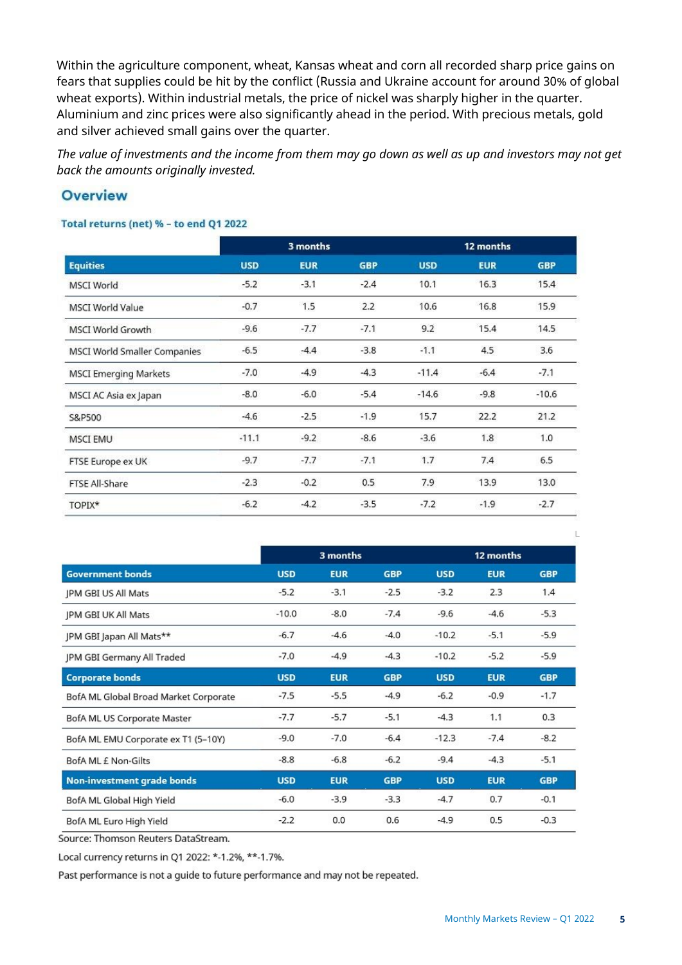Within the agriculture component, wheat, Kansas wheat and corn all recorded sharp price gains on fears that supplies could be hit by the conflict (Russia and Ukraine account for around 30% of global wheat exports). Within industrial metals, the price of nickel was sharply higher in the quarter. Aluminium and zinc prices were also significantly ahead in the period. With precious metals, gold and silver achieved small gains over the quarter.

*The value of investments and the income from them may go down as well as up and investors may not get back the amounts originally invested.*

## **Overview**

#### Total returns (net) % - to end Q1 2022

| <b>Equities</b>              | 3 months   |            |            |            | 12 months  |            |
|------------------------------|------------|------------|------------|------------|------------|------------|
|                              | <b>USD</b> | <b>EUR</b> | <b>GBP</b> | <b>USD</b> | <b>EUR</b> | <b>GBP</b> |
| <b>MSCI World</b>            | $-5.2$     | $-3.1$     | $-2.4$     | 10.1       | 16.3       | 15.4       |
| <b>MSCI World Value</b>      | $-0.7$     | 1.5        | 2.2        | 10.6       | 16.8       | 15.9       |
| <b>MSCI World Growth</b>     | $-9.6$     | $-7.7$     | $-7.1$     | 9.2        | 15.4       | 14.5       |
| MSCI World Smaller Companies | $-6.5$     | $-4.4$     | $-3.8$     | $-1.1$     | 4.5        | 3.6        |
| <b>MSCI Emerging Markets</b> | $-7.0$     | $-4.9$     | $-4.3$     | $-11.4$    | $-6.4$     | $-7.1$     |
| MSCI AC Asia ex Japan        | $-8.0$     | $-6.0$     | $-5.4$     | $-14.6$    | $-9.8$     | $-10.6$    |
| S&P500                       | $-4.6$     | $-2.5$     | $-1.9$     | 15.7       | 22.2       | 21.2       |
| <b>MSCI EMU</b>              | $-11.1$    | $-9.2$     | $-8.6$     | $-3.6$     | 1.8        | 1.0        |
| FTSE Europe ex UK            | $-9.7$     | $-7.7$     | $-7.1$     | 1.7        | 7.4        | 6.5        |
| FTSE All-Share               | $-2.3$     | $-0.2$     | 0.5        | 7.9        | 13.9       | 13.0       |
| TOPIX*                       | $-6.2$     | $-4.2$     | $-3.5$     | $-7.2$     | $-1.9$     | $-2.7$     |
|                              |            |            |            |            |            |            |

|                                       | 3 months   |            |            | 12 months  |            |            |
|---------------------------------------|------------|------------|------------|------------|------------|------------|
| <b>Government bonds</b>               | <b>USD</b> | <b>EUR</b> | <b>GBP</b> | <b>USD</b> | <b>EUR</b> | <b>GBP</b> |
| JPM GBI US All Mats                   | $-5.2$     | $-3.1$     | $-2.5$     | $-3.2$     | 2.3        | 1.4        |
| <b>JPM GBI UK All Mats</b>            | $-10.0$    | $-8.0$     | $-7.4$     | $-9.6$     | $-4.6$     | $-5.3$     |
| JPM GBI Japan All Mats**              | $-6.7$     | $-4.6$     | $-4.0$     | $-10.2$    | $-5.1$     | $-5.9$     |
| JPM GBI Germany All Traded            | $-7.0$     | $-4.9$     | $-4.3$     | $-10.2$    | $-5.2$     | $-5.9$     |
| <b>Corporate bonds</b>                | <b>USD</b> | <b>EUR</b> | <b>GBP</b> | <b>USD</b> | <b>EUR</b> | <b>GBP</b> |
| BofA ML Global Broad Market Corporate | $-7.5$     | $-5.5$     | $-4.9$     | $-6.2$     | $-0.9$     | $-1.7$     |
| BofA ML US Corporate Master           | $-7.7$     | $-5.7$     | $-5.1$     | $-4.3$     | 1.1        | 0.3        |
| BofA ML EMU Corporate ex T1 (5-10Y)   | $-9.0$     | $-7.0$     | $-6.4$     | $-12.3$    | $-7.4$     | $-8.2$     |
| BofA ML £ Non-Gilts                   | $-8.8$     | $-6.8$     | $-6.2$     | $-9.4$     | $-4.3$     | $-5.1$     |
| Non-investment grade bonds            | <b>USD</b> | <b>EUR</b> | <b>GBP</b> | <b>USD</b> | <b>EUR</b> | <b>GBP</b> |
| BofA ML Global High Yield             | $-6.0$     | $-3.9$     | $-3.3$     | $-4.7$     | 0.7        | $-0.1$     |
| BofA ML Euro High Yield               | $-2.2$     | 0.0        | 0.6        | $-4.9$     | 0.5        | $-0.3$     |

Source: Thomson Reuters DataStream.

Local currency returns in Q1 2022: \*-1.2%, \*\*-1.7%.

Past performance is not a guide to future performance and may not be repeated.

 $\mathbf{L}$